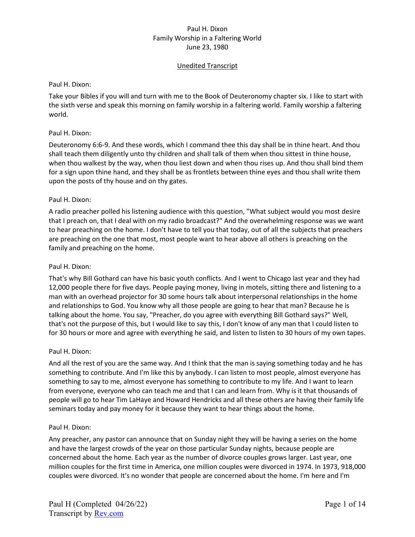# Unedited Transcript

### Paul H. Dixon:

Take your Bibles if you will and turn with me to the Book of Deuteronomy chapter six. I like to start with the sixth verse and speak this morning on family worship in a faltering world. Family worship a faltering world.

## Paul H. Dixon:

Deuteronomy 6:6-9. And these words, which I command thee this day shall be in thine heart. And thou shall teach them diligently unto thy children and shall talk of them when thou sittest in thine house, when thou walkest by the way, when thou liest down and when thou rises up. And thou shall bind them for a sign upon thine hand, and they shall be as frontlets between thine eyes and thou shall write them upon the posts of thy house and on thy gates.

## Paul H. Dixon:

A radio preacher polled his listening audience with this question, "What subject would you most desire that I preach on, that I deal with on my radio broadcast?" And the overwhelming response was we want to hear preaching on the home. I don't have to tell you that today, out of all the subjects that preachers are preaching on the one that most, most people want to hear above all others is preaching on the family and preaching on the home.

## Paul H. Dixon:

That's why Bill Gothard can have his basic youth conflicts. And I went to Chicago last year and they had 12,000 people there for five days. People paying money, living in motels, sitting there and listening to a man with an overhead projector for 30 some hours talk about interpersonal relationships in the home and relationships to God. You know why all those people are going to hear that man? Because he is talking about the home. You say, "Preacher, do you agree with everything Bill Gothard says?" Well, that's not the purpose of this, but I would like to say this, I don't know of any man that I could listen to for 30 hours or more and agree with everything he said, and listen to listen to 30 hours of my own tapes.

### Paul H. Dixon:

And all the rest of you are the same way. And I think that the man is saying something today and he has something to contribute. And I'm like this by anybody. I can listen to most people, almost everyone has something to say to me, almost everyone has something to contribute to my life. And I want to learn from everyone, everyone who can teach me and that I can and learn from. Why is it that thousands of people will go to hear Tim LaHaye and Howard Hendricks and all these others are having their family life seminars today and pay money for it because they want to hear things about the home.

### Paul H. Dixon:

Any preacher, any pastor can announce that on Sunday night they will be having a series on the home and have the largest crowds of the year on those particular Sunday nights, because people are concerned about the home. Each year as the number of divorce couples grows larger. Last year, one million couples for the first time in America, one million couples were divorced in 1974. In 1973, 918,000 couples were divorced. It's no wonder that people are concerned about the home. I'm here and I'm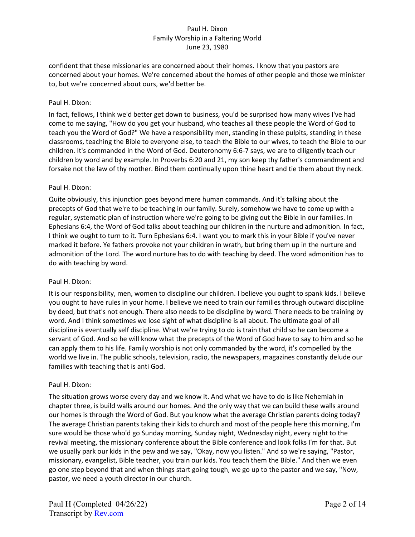confident that these missionaries are concerned about their homes. I know that you pastors are concerned about your homes. We're concerned about the homes of other people and those we minister to, but we're concerned about ours, we'd better be.

## Paul H. Dixon:

In fact, fellows, I think we'd better get down to business, you'd be surprised how many wives I've had come to me saying, "How do you get your husband, who teaches all these people the Word of God to teach you the Word of God?" We have a responsibility men, standing in these pulpits, standing in these classrooms, teaching the Bible to everyone else, to teach the Bible to our wives, to teach the Bible to our children. It's commanded in the Word of God. Deuteronomy 6:6-7 says, we are to diligently teach our children by word and by example. In Proverbs 6:20 and 21, my son keep thy father's commandment and forsake not the law of thy mother. Bind them continually upon thine heart and tie them about thy neck.

## Paul H. Dixon:

Quite obviously, this injunction goes beyond mere human commands. And it's talking about the precepts of God that we're to be teaching in our family. Surely, somehow we have to come up with a regular, systematic plan of instruction where we're going to be giving out the Bible in our families. In Ephesians 6:4, the Word of God talks about teaching our children in the nurture and admonition. In fact, I think we ought to turn to it. Turn Ephesians 6:4. I want you to mark this in your Bible if you've never marked it before. Ye fathers provoke not your children in wrath, but bring them up in the nurture and admonition of the Lord. The word nurture has to do with teaching by deed. The word admonition has to do with teaching by word.

### Paul H. Dixon:

It is our responsibility, men, women to discipline our children. I believe you ought to spank kids. I believe you ought to have rules in your home. I believe we need to train our families through outward discipline by deed, but that's not enough. There also needs to be discipline by word. There needs to be training by word. And I think sometimes we lose sight of what discipline is all about. The ultimate goal of all discipline is eventually self discipline. What we're trying to do is train that child so he can become a servant of God. And so he will know what the precepts of the Word of God have to say to him and so he can apply them to his life. Family worship is not only commanded by the word, it's compelled by the world we live in. The public schools, television, radio, the newspapers, magazines constantly delude our families with teaching that is anti God.

### Paul H. Dixon:

The situation grows worse every day and we know it. And what we have to do is like Nehemiah in chapter three, is build walls around our homes. And the only way that we can build these walls around our homes is through the Word of God. But you know what the average Christian parents doing today? The average Christian parents taking their kids to church and most of the people here this morning, I'm sure would be those who'd go Sunday morning, Sunday night, Wednesday night, every night to the revival meeting, the missionary conference about the Bible conference and look folks I'm for that. But we usually park our kids in the pew and we say, "Okay, now you listen." And so we're saying, "Pastor, missionary, evangelist, Bible teacher, you train our kids. You teach them the Bible." And then we even go one step beyond that and when things start going tough, we go up to the pastor and we say, "Now, pastor, we need a youth director in our church.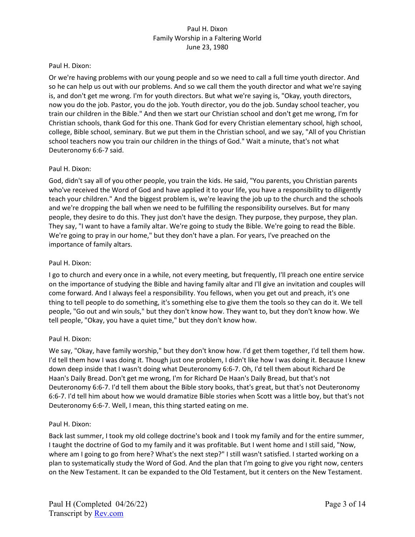## Paul H. Dixon:

Or we're having problems with our young people and so we need to call a full time youth director. And so he can help us out with our problems. And so we call them the youth director and what we're saying is, and don't get me wrong. I'm for youth directors. But what we're saying is, "Okay, youth directors, now you do the job. Pastor, you do the job. Youth director, you do the job. Sunday school teacher, you train our children in the Bible." And then we start our Christian school and don't get me wrong, I'm for Christian schools, thank God for this one. Thank God for every Christian elementary school, high school, college, Bible school, seminary. But we put them in the Christian school, and we say, "All of you Christian school teachers now you train our children in the things of God." Wait a minute, that's not what Deuteronomy 6:6-7 said.

## Paul H. Dixon:

God, didn't say all of you other people, you train the kids. He said, "You parents, you Christian parents who've received the Word of God and have applied it to your life, you have a responsibility to diligently teach your children." And the biggest problem is, we're leaving the job up to the church and the schools and we're dropping the ball when we need to be fulfilling the responsibility ourselves. But for many people, they desire to do this. They just don't have the design. They purpose, they purpose, they plan. They say, "I want to have a family altar. We're going to study the Bible. We're going to read the Bible. We're going to pray in our home," but they don't have a plan. For years, I've preached on the importance of family altars.

## Paul H. Dixon:

I go to church and every once in a while, not every meeting, but frequently, I'll preach one entire service on the importance of studying the Bible and having family altar and I'll give an invitation and couples will come forward. And I always feel a responsibility. You fellows, when you get out and preach, it's one thing to tell people to do something, it's something else to give them the tools so they can do it. We tell people, "Go out and win souls," but they don't know how. They want to, but they don't know how. We tell people, "Okay, you have a quiet time," but they don't know how.

# Paul H. Dixon:

We say, "Okay, have family worship," but they don't know how. I'd get them together, I'd tell them how. I'd tell them how I was doing it. Though just one problem, I didn't like how I was doing it. Because I knew down deep inside that I wasn't doing what Deuteronomy 6:6-7. Oh, I'd tell them about Richard De Haan's Daily Bread. Don't get me wrong, I'm for Richard De Haan's Daily Bread, but that's not Deuteronomy 6:6-7. I'd tell them about the Bible story books, that's great, but that's not Deuteronomy 6:6-7. I'd tell him about how we would dramatize Bible stories when Scott was a little boy, but that's not Deuteronomy 6:6-7. Well, I mean, this thing started eating on me.

### Paul H. Dixon:

Back last summer, I took my old college doctrine's book and I took my family and for the entire summer, I taught the doctrine of God to my family and it was profitable. But I went home and I still said, "Now, where am I going to go from here? What's the next step?" I still wasn't satisfied. I started working on a plan to systematically study the Word of God. And the plan that I'm going to give you right now, centers on the New Testament. It can be expanded to the Old Testament, but it centers on the New Testament.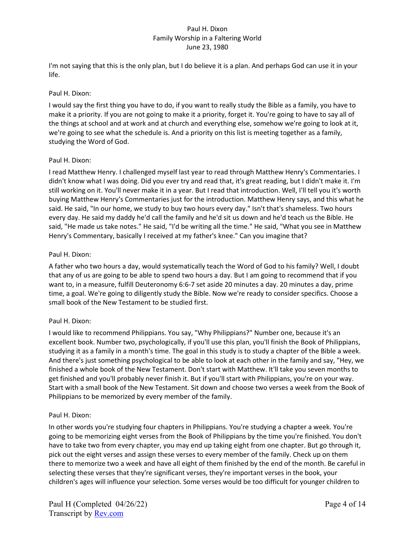I'm not saying that this is the only plan, but I do believe it is a plan. And perhaps God can use it in your life.

## Paul H. Dixon:

I would say the first thing you have to do, if you want to really study the Bible as a family, you have to make it a priority. If you are not going to make it a priority, forget it. You're going to have to say all of the things at school and at work and at church and everything else, somehow we're going to look at it, we're going to see what the schedule is. And a priority on this list is meeting together as a family, studying the Word of God.

## Paul H. Dixon:

I read Matthew Henry. I challenged myself last year to read through Matthew Henry's Commentaries. I didn't know what I was doing. Did you ever try and read that, it's great reading, but I didn't make it. I'm still working on it. You'll never make it in a year. But I read that introduction. Well, I'll tell you it's worth buying Matthew Henry's Commentaries just for the introduction. Matthew Henry says, and this what he said. He said, "In our home, we study to buy two hours every day." Isn't that's shameless. Two hours every day. He said my daddy he'd call the family and he'd sit us down and he'd teach us the Bible. He said, "He made us take notes." He said, "I'd be writing all the time." He said, "What you see in Matthew Henry's Commentary, basically I received at my father's knee." Can you imagine that?

## Paul H. Dixon:

A father who two hours a day, would systematically teach the Word of God to his family? Well, I doubt that any of us are going to be able to spend two hours a day. But I am going to recommend that if you want to, in a measure, fulfill Deuteronomy 6:6-7 set aside 20 minutes a day. 20 minutes a day, prime time, a goal. We're going to diligently study the Bible. Now we're ready to consider specifics. Choose a small book of the New Testament to be studied first.

# Paul H. Dixon:

I would like to recommend Philippians. You say, "Why Philippians?" Number one, because it's an excellent book. Number two, psychologically, if you'll use this plan, you'll finish the Book of Philippians, studying it as a family in a month's time. The goal in this study is to study a chapter of the Bible a week. And there's just something psychological to be able to look at each other in the family and say, "Hey, we finished a whole book of the New Testament. Don't start with Matthew. It'll take you seven months to get finished and you'll probably never finish it. But if you'll start with Philippians, you're on your way. Start with a small book of the New Testament. Sit down and choose two verses a week from the Book of Philippians to be memorized by every member of the family.

# Paul H. Dixon:

In other words you're studying four chapters in Philippians. You're studying a chapter a week. You're going to be memorizing eight verses from the Book of Philippians by the time you're finished. You don't have to take two from every chapter, you may end up taking eight from one chapter. But go through it, pick out the eight verses and assign these verses to every member of the family. Check up on them there to memorize two a week and have all eight of them finished by the end of the month. Be careful in selecting these verses that they're significant verses, they're important verses in the book, your children's ages will influence your selection. Some verses would be too difficult for younger children to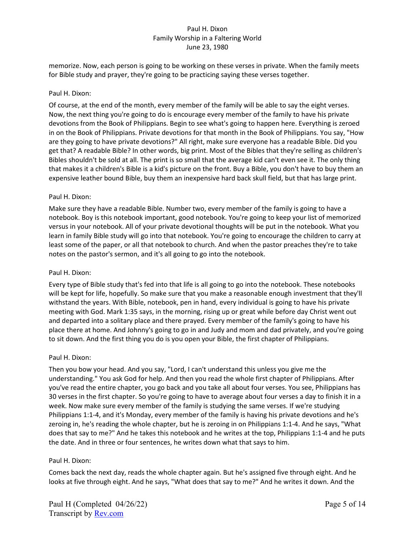memorize. Now, each person is going to be working on these verses in private. When the family meets for Bible study and prayer, they're going to be practicing saying these verses together.

### Paul H. Dixon:

Of course, at the end of the month, every member of the family will be able to say the eight verses. Now, the next thing you're going to do is encourage every member of the family to have his private devotions from the Book of Philippians. Begin to see what's going to happen here. Everything is zeroed in on the Book of Philippians. Private devotions for that month in the Book of Philippians. You say, "How are they going to have private devotions?" All right, make sure everyone has a readable Bible. Did you get that? A readable Bible? In other words, big print. Most of the Bibles that they're selling as children's Bibles shouldn't be sold at all. The print is so small that the average kid can't even see it. The only thing that makes it a children's Bible is a kid's picture on the front. Buy a Bible, you don't have to buy them an expensive leather bound Bible, buy them an inexpensive hard back skull field, but that has large print.

### Paul H. Dixon:

Make sure they have a readable Bible. Number two, every member of the family is going to have a notebook. Boy is this notebook important, good notebook. You're going to keep your list of memorized versus in your notebook. All of your private devotional thoughts will be put in the notebook. What you learn in family Bible study will go into that notebook. You're going to encourage the children to carry at least some of the paper, or all that notebook to church. And when the pastor preaches they're to take notes on the pastor's sermon, and it's all going to go into the notebook.

### Paul H. Dixon:

Every type of Bible study that's fed into that life is all going to go into the notebook. These notebooks will be kept for life, hopefully. So make sure that you make a reasonable enough investment that they'll withstand the years. With Bible, notebook, pen in hand, every individual is going to have his private meeting with God. Mark 1:35 says, in the morning, rising up or great while before day Christ went out and departed into a solitary place and there prayed. Every member of the family's going to have his place there at home. And Johnny's going to go in and Judy and mom and dad privately, and you're going to sit down. And the first thing you do is you open your Bible, the first chapter of Philippians.

### Paul H. Dixon:

Then you bow your head. And you say, "Lord, I can't understand this unless you give me the understanding." You ask God for help. And then you read the whole first chapter of Philippians. After you've read the entire chapter, you go back and you take all about four verses. You see, Philippians has 30 verses in the first chapter. So you're going to have to average about four verses a day to finish it in a week. Now make sure every member of the family is studying the same verses. If we're studying Philippians 1:1-4, and it's Monday, every member of the family is having his private devotions and he's zeroing in, he's reading the whole chapter, but he is zeroing in on Philippians 1:1-4. And he says, "What does that say to me?" And he takes this notebook and he writes at the top, Philippians 1:1-4 and he puts the date. And in three or four sentences, he writes down what that says to him.

### Paul H. Dixon:

Comes back the next day, reads the whole chapter again. But he's assigned five through eight. And he looks at five through eight. And he says, "What does that say to me?" And he writes it down. And the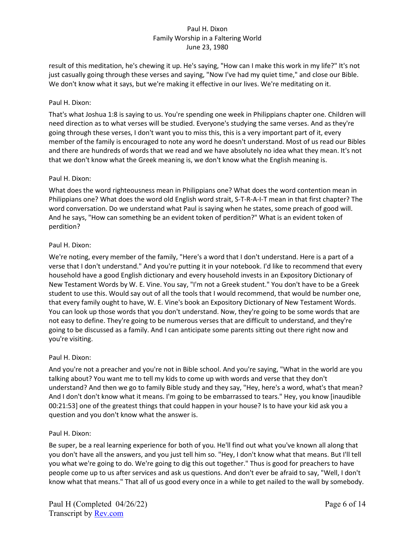result of this meditation, he's chewing it up. He's saying, "How can I make this work in my life?" It's not just casually going through these verses and saying, "Now I've had my quiet time," and close our Bible. We don't know what it says, but we're making it effective in our lives. We're meditating on it.

## Paul H. Dixon:

That's what Joshua 1:8 is saying to us. You're spending one week in Philippians chapter one. Children will need direction as to what verses will be studied. Everyone's studying the same verses. And as they're going through these verses, I don't want you to miss this, this is a very important part of it, every member of the family is encouraged to note any word he doesn't understand. Most of us read our Bibles and there are hundreds of words that we read and we have absolutely no idea what they mean. It's not that we don't know what the Greek meaning is, we don't know what the English meaning is.

## Paul H. Dixon:

What does the word righteousness mean in Philippians one? What does the word contention mean in Philippians one? What does the word old English word strait, S-T-R-A-I-T mean in that first chapter? The word conversation. Do we understand what Paul is saying when he states, some preach of good will. And he says, "How can something be an evident token of perdition?" What is an evident token of perdition?

## Paul H. Dixon:

We're noting, every member of the family, "Here's a word that I don't understand. Here is a part of a verse that I don't understand." And you're putting it in your notebook. I'd like to recommend that every household have a good English dictionary and every household invests in an Expository Dictionary of New Testament Words by W. E. Vine. You say, "I'm not a Greek student." You don't have to be a Greek student to use this. Would say out of all the tools that I would recommend, that would be number one, that every family ought to have, W. E. Vine's book an Expository Dictionary of New Testament Words. You can look up those words that you don't understand. Now, they're going to be some words that are not easy to define. They're going to be numerous verses that are difficult to understand, and they're going to be discussed as a family. And I can anticipate some parents sitting out there right now and you're visiting.

### Paul H. Dixon:

And you're not a preacher and you're not in Bible school. And you're saying, "What in the world are you talking about? You want me to tell my kids to come up with words and verse that they don't understand? And then we go to family Bible study and they say, "Hey, here's a word, what's that mean? And I don't don't know what it means. I'm going to be embarrassed to tears." Hey, you know [inaudible 00:21:53] one of the greatest things that could happen in your house? Is to have your kid ask you a question and you don't know what the answer is.

### Paul H. Dixon:

Be super, be a real learning experience for both of you. He'll find out what you've known all along that you don't have all the answers, and you just tell him so. "Hey, I don't know what that means. But I'll tell you what we're going to do. We're going to dig this out together." Thus is good for preachers to have people come up to us after services and ask us questions. And don't ever be afraid to say, "Well, I don't know what that means." That all of us good every once in a while to get nailed to the wall by somebody.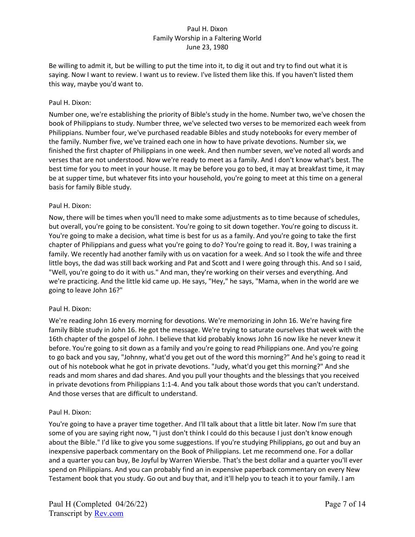Be willing to admit it, but be willing to put the time into it, to dig it out and try to find out what it is saying. Now I want to review. I want us to review. I've listed them like this. If you haven't listed them this way, maybe you'd want to.

## Paul H. Dixon:

Number one, we're establishing the priority of Bible's study in the home. Number two, we've chosen the book of Philippians to study. Number three, we've selected two verses to be memorized each week from Philippians. Number four, we've purchased readable Bibles and study notebooks for every member of the family. Number five, we've trained each one in how to have private devotions. Number six, we finished the first chapter of Philippians in one week. And then number seven, we've noted all words and verses that are not understood. Now we're ready to meet as a family. And I don't know what's best. The best time for you to meet in your house. It may be before you go to bed, it may at breakfast time, it may be at supper time, but whatever fits into your household, you're going to meet at this time on a general basis for family Bible study.

## Paul H. Dixon:

Now, there will be times when you'll need to make some adjustments as to time because of schedules, but overall, you're going to be consistent. You're going to sit down together. You're going to discuss it. You're going to make a decision, what time is best for us as a family. And you're going to take the first chapter of Philippians and guess what you're going to do? You're going to read it. Boy, I was training a family. We recently had another family with us on vacation for a week. And so I took the wife and three little boys, the dad was still back working and Pat and Scott and I were going through this. And so I said, "Well, you're going to do it with us." And man, they're working on their verses and everything. And we're practicing. And the little kid came up. He says, "Hey," he says, "Mama, when in the world are we going to leave John 16?"

### Paul H. Dixon:

We're reading John 16 every morning for devotions. We're memorizing in John 16. We're having fire family Bible study in John 16. He got the message. We're trying to saturate ourselves that week with the 16th chapter of the gospel of John. I believe that kid probably knows John 16 now like he never knew it before. You're going to sit down as a family and you're going to read Philippians one. And you're going to go back and you say, "Johnny, what'd you get out of the word this morning?" And he's going to read it out of his notebook what he got in private devotions. "Judy, what'd you get this morning?" And she reads and mom shares and dad shares. And you pull your thoughts and the blessings that you received in private devotions from Philippians 1:1-4. And you talk about those words that you can't understand. And those verses that are difficult to understand.

### Paul H. Dixon:

You're going to have a prayer time together. And I'll talk about that a little bit later. Now I'm sure that some of you are saying right now, "I just don't think I could do this because I just don't know enough about the Bible." I'd like to give you some suggestions. If you're studying Philippians, go out and buy an inexpensive paperback commentary on the Book of Philippians. Let me recommend one. For a dollar and a quarter you can buy, Be Joyful by Warren Wiersbe. That's the best dollar and a quarter you'll ever spend on Philippians. And you can probably find an in expensive paperback commentary on every New Testament book that you study. Go out and buy that, and it'll help you to teach it to your family. I am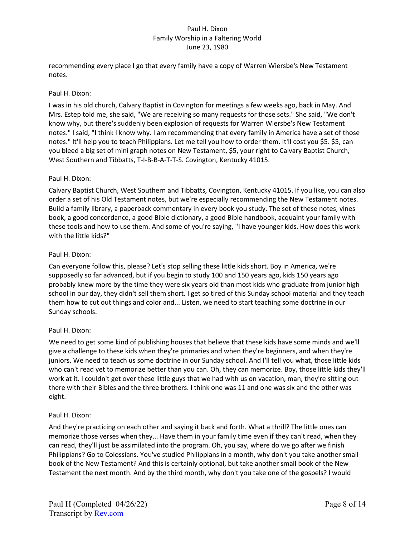recommending every place I go that every family have a copy of Warren Wiersbe's New Testament notes.

## Paul H. Dixon:

I was in his old church, Calvary Baptist in Covington for meetings a few weeks ago, back in May. And Mrs. Estep told me, she said, "We are receiving so many requests for those sets." She said, "We don't know why, but there's suddenly been explosion of requests for Warren Wiersbe's New Testament notes." I said, "I think I know why. I am recommending that every family in America have a set of those notes." It'll help you to teach Philippians. Let me tell you how to order them. It'll cost you \$5. \$5, can you bleed a big set of mini graph notes on New Testament, \$5, your right to Calvary Baptist Church, West Southern and Tibbatts, T-I-B-B-A-T-T-S. Covington, Kentucky 41015.

## Paul H. Dixon:

Calvary Baptist Church, West Southern and Tibbatts, Covington, Kentucky 41015. If you like, you can also order a set of his Old Testament notes, but we're especially recommending the New Testament notes. Build a family library, a paperback commentary in every book you study. The set of these notes, vines book, a good concordance, a good Bible dictionary, a good Bible handbook, acquaint your family with these tools and how to use them. And some of you're saying, "I have younger kids. How does this work with the little kids?"

## Paul H. Dixon:

Can everyone follow this, please? Let's stop selling these little kids short. Boy in America, we're supposedly so far advanced, but if you begin to study 100 and 150 years ago, kids 150 years ago probably knew more by the time they were six years old than most kids who graduate from junior high school in our day, they didn't sell them short. I get so tired of this Sunday school material and they teach them how to cut out things and color and... Listen, we need to start teaching some doctrine in our Sunday schools.

# Paul H. Dixon:

We need to get some kind of publishing houses that believe that these kids have some minds and we'll give a challenge to these kids when they're primaries and when they're beginners, and when they're juniors. We need to teach us some doctrine in our Sunday school. And I'll tell you what, those little kids who can't read yet to memorize better than you can. Oh, they can memorize. Boy, those little kids they'll work at it. I couldn't get over these little guys that we had with us on vacation, man, they're sitting out there with their Bibles and the three brothers. I think one was 11 and one was six and the other was eight.

# Paul H. Dixon:

And they're practicing on each other and saying it back and forth. What a thrill? The little ones can memorize those verses when they... Have them in your family time even if they can't read, when they can read, they'll just be assimilated into the program. Oh, you say, where do we go after we finish Philippians? Go to Colossians. You've studied Philippians in a month, why don't you take another small book of the New Testament? And this is certainly optional, but take another small book of the New Testament the next month. And by the third month, why don't you take one of the gospels? I would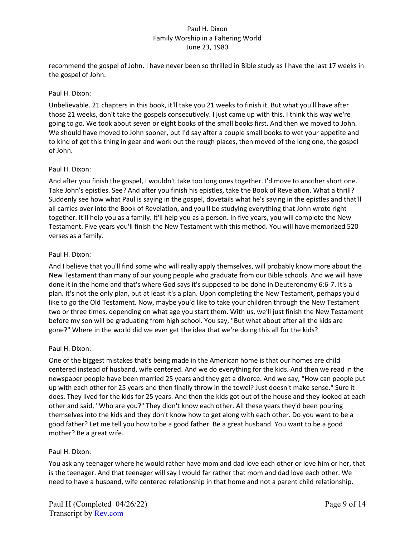recommend the gospel of John. I have never been so thrilled in Bible study as I have the last 17 weeks in the gospel of John.

## Paul H. Dixon:

Unbelievable. 21 chapters in this book, it'll take you 21 weeks to finish it. But what you'll have after those 21 weeks, don't take the gospels consecutively. I just came up with this. I think this way we're going to go. We took about seven or eight books of the small books first. And then we moved to John. We should have moved to John sooner, but I'd say after a couple small books to wet your appetite and to kind of get this thing in gear and work out the rough places, then moved of the long one, the gospel of John.

## Paul H. Dixon:

And after you finish the gospel, I wouldn't take too long ones together. I'd move to another short one. Take John's epistles. See? And after you finish his epistles, take the Book of Revelation. What a thrill? Suddenly see how what Paul is saying in the gospel, dovetails what he's saying in the epistles and that'll all carries over into the Book of Revelation, and you'll be studying everything that John wrote right together. It'll help you as a family. It'll help you as a person. In five years, you will complete the New Testament. Five years you'll finish the New Testament with this method. You will have memorized 520 verses as a family.

## Paul H. Dixon:

And I believe that you'll find some who will really apply themselves, will probably know more about the New Testament than many of our young people who graduate from our Bible schools. And we will have done it in the home and that's where God says it's supposed to be done in Deuteronomy 6:6-7. It's a plan. It's not the only plan, but at least it's a plan. Upon completing the New Testament, perhaps you'd like to go the Old Testament. Now, maybe you'd like to take your children through the New Testament two or three times, depending on what age you start them. With us, we'll just finish the New Testament before my son will be graduating from high school. You say, "But what about after all the kids are gone?" Where in the world did we ever get the idea that we're doing this all for the kids?

# Paul H. Dixon:

One of the biggest mistakes that's being made in the American home is that our homes are child centered instead of husband, wife centered. And we do everything for the kids. And then we read in the newspaper people have been married 25 years and they get a divorce. And we say, "How can people put up with each other for 25 years and then finally throw in the towel? Just doesn't make sense." Sure it does. They lived for the kids for 25 years. And then the kids got out of the house and they looked at each other and said, "Who are you?" They didn't know each other. All these years they'd been pouring themselves into the kids and they don't know how to get along with each other. Do you want to be a good father? Let me tell you how to be a good father. Be a great husband. You want to be a good mother? Be a great wife.

# Paul H. Dixon:

You ask any teenager where he would rather have mom and dad love each other or love him or her, that is the teenager. And that teenager will say I would far rather that mom and dad love each other. We need to have a husband, wife centered relationship in that home and not a parent child relationship.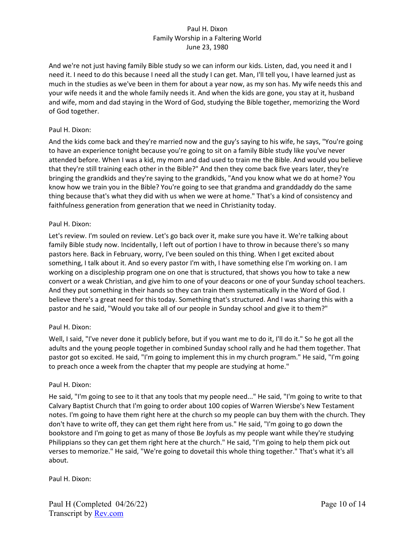And we're not just having family Bible study so we can inform our kids. Listen, dad, you need it and I need it. I need to do this because I need all the study I can get. Man, I'll tell you, I have learned just as much in the studies as we've been in them for about a year now, as my son has. My wife needs this and your wife needs it and the whole family needs it. And when the kids are gone, you stay at it, husband and wife, mom and dad staying in the Word of God, studying the Bible together, memorizing the Word of God together.

## Paul H. Dixon:

And the kids come back and they're married now and the guy's saying to his wife, he says, "You're going to have an experience tonight because you're going to sit on a family Bible study like you've never attended before. When I was a kid, my mom and dad used to train me the Bible. And would you believe that they're still training each other in the Bible?" And then they come back five years later, they're bringing the grandkids and they're saying to the grandkids, "And you know what we do at home? You know how we train you in the Bible? You're going to see that grandma and granddaddy do the same thing because that's what they did with us when we were at home." That's a kind of consistency and faithfulness generation from generation that we need in Christianity today.

## Paul H. Dixon:

Let's review. I'm souled on review. Let's go back over it, make sure you have it. We're talking about family Bible study now. Incidentally, I left out of portion I have to throw in because there's so many pastors here. Back in February, worry, I've been souled on this thing. When I get excited about something, I talk about it. And so every pastor I'm with, I have something else I'm working on. I am working on a discipleship program one on one that is structured, that shows you how to take a new convert or a weak Christian, and give him to one of your deacons or one of your Sunday school teachers. And they put something in their hands so they can train them systematically in the Word of God. I believe there's a great need for this today. Something that's structured. And I was sharing this with a pastor and he said, "Would you take all of our people in Sunday school and give it to them?"

### Paul H. Dixon:

Well, I said, "I've never done it publicly before, but if you want me to do it, I'll do it." So he got all the adults and the young people together in combined Sunday school rally and he had them together. That pastor got so excited. He said, "I'm going to implement this in my church program." He said, "I'm going to preach once a week from the chapter that my people are studying at home."

### Paul H. Dixon:

He said, "I'm going to see to it that any tools that my people need..." He said, "I'm going to write to that Calvary Baptist Church that I'm going to order about 100 copies of Warren Wiersbe's New Testament notes. I'm going to have them right here at the church so my people can buy them with the church. They don't have to write off, they can get them right here from us." He said, "I'm going to go down the bookstore and I'm going to get as many of those Be Joyfuls as my people want while they're studying Philippians so they can get them right here at the church." He said, "I'm going to help them pick out verses to memorize." He said, "We're going to dovetail this whole thing together." That's what it's all about.

Paul H. Dixon: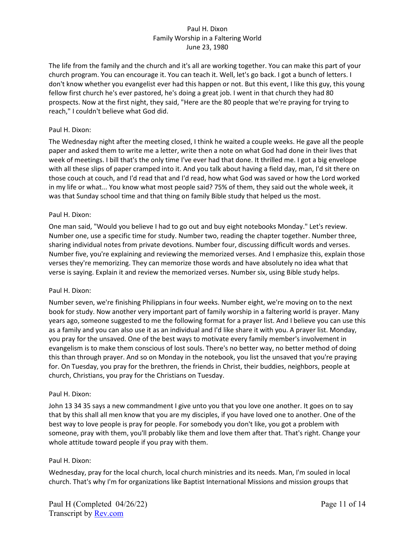The life from the family and the church and it's all are working together. You can make this part of your church program. You can encourage it. You can teach it. Well, let's go back. I got a bunch of letters. I don't know whether you evangelist ever had this happen or not. But this event, I like this guy, this young fellow first church he's ever pastored, he's doing a great job. I went in that church they had 80 prospects. Now at the first night, they said, "Here are the 80 people that we're praying for trying to reach," I couldn't believe what God did.

## Paul H. Dixon:

The Wednesday night after the meeting closed, I think he waited a couple weeks. He gave all the people paper and asked them to write me a letter, write then a note on what God had done in their lives that week of meetings. I bill that's the only time I've ever had that done. It thrilled me. I got a big envelope with all these slips of paper cramped into it. And you talk about having a field day, man, I'd sit there on those couch at couch, and I'd read that and I'd read, how what God was saved or how the Lord worked in my life or what... You know what most people said? 75% of them, they said out the whole week, it was that Sunday school time and that thing on family Bible study that helped us the most.

## Paul H. Dixon:

One man said, "Would you believe I had to go out and buy eight notebooks Monday." Let's review. Number one, use a specific time for study. Number two, reading the chapter together. Number three, sharing individual notes from private devotions. Number four, discussing difficult words and verses. Number five, you're explaining and reviewing the memorized verses. And I emphasize this, explain those verses they're memorizing. They can memorize those words and have absolutely no idea what that verse is saying. Explain it and review the memorized verses. Number six, using Bible study helps.

### Paul H. Dixon:

Number seven, we're finishing Philippians in four weeks. Number eight, we're moving on to the next book for study. Now another very important part of family worship in a faltering world is prayer. Many years ago, someone suggested to me the following format for a prayer list. And I believe you can use this as a family and you can also use it as an individual and I'd like share it with you. A prayer list. Monday, you pray for the unsaved. One of the best ways to motivate every family member's involvement in evangelism is to make them conscious of lost souls. There's no better way, no better method of doing this than through prayer. And so on Monday in the notebook, you list the unsaved that you're praying for. On Tuesday, you pray for the brethren, the friends in Christ, their buddies, neighbors, people at church, Christians, you pray for the Christians on Tuesday.

### Paul H. Dixon:

John 13 34 35 says a new commandment I give unto you that you love one another. It goes on to say that by this shall all men know that you are my disciples, if you have loved one to another. One of the best way to love people is pray for people. For somebody you don't like, you got a problem with someone, pray with them, you'll probably like them and love them after that. That's right. Change your whole attitude toward people if you pray with them.

### Paul H. Dixon:

Wednesday, pray for the local church, local church ministries and its needs. Man, I'm souled in local church. That's why I'm for organizations like Baptist International Missions and mission groups that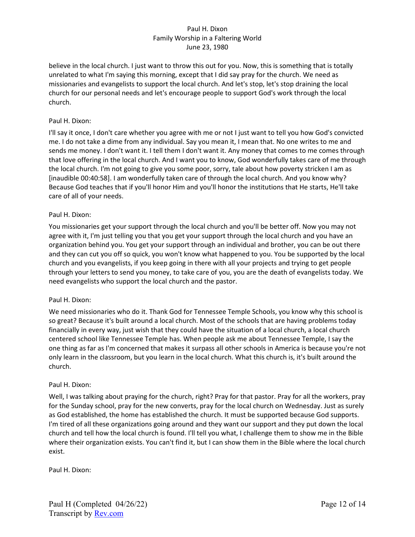believe in the local church. I just want to throw this out for you. Now, this is something that is totally unrelated to what I'm saying this morning, except that I did say pray for the church. We need as missionaries and evangelists to support the local church. And let's stop, let's stop draining the local church for our personal needs and let's encourage people to support God's work through the local church.

## Paul H. Dixon:

I'll say it once, I don't care whether you agree with me or not I just want to tell you how God's convicted me. I do not take a dime from any individual. Say you mean it, I mean that. No one writes to me and sends me money. I don't want it. I tell them I don't want it. Any money that comes to me comes through that love offering in the local church. And I want you to know, God wonderfully takes care of me through the local church. I'm not going to give you some poor, sorry, tale about how poverty stricken I am as [inaudible 00:40:58]. I am wonderfully taken care of through the local church. And you know why? Because God teaches that if you'll honor Him and you'll honor the institutions that He starts, He'll take care of all of your needs.

## Paul H. Dixon:

You missionaries get your support through the local church and you'll be better off. Now you may not agree with it, I'm just telling you that you get your support through the local church and you have an organization behind you. You get your support through an individual and brother, you can be out there and they can cut you off so quick, you won't know what happened to you. You be supported by the local church and you evangelists, if you keep going in there with all your projects and trying to get people through your letters to send you money, to take care of you, you are the death of evangelists today. We need evangelists who support the local church and the pastor.

### Paul H. Dixon:

We need missionaries who do it. Thank God for Tennessee Temple Schools, you know why this school is so great? Because it's built around a local church. Most of the schools that are having problems today financially in every way, just wish that they could have the situation of a local church, a local church centered school like Tennessee Temple has. When people ask me about Tennessee Temple, I say the one thing as far as I'm concerned that makes it surpass all other schools in America is because you're not only learn in the classroom, but you learn in the local church. What this church is, it's built around the church.

### Paul H. Dixon:

Well, I was talking about praying for the church, right? Pray for that pastor. Pray for all the workers, pray for the Sunday school, pray for the new converts, pray for the local church on Wednesday. Just as surely as God established, the home has established the church. It must be supported because God supports. I'm tired of all these organizations going around and they want our support and they put down the local church and tell how the local church is found. I'll tell you what, I challenge them to show me in the Bible where their organization exists. You can't find it, but I can show them in the Bible where the local church exist.

Paul H. Dixon: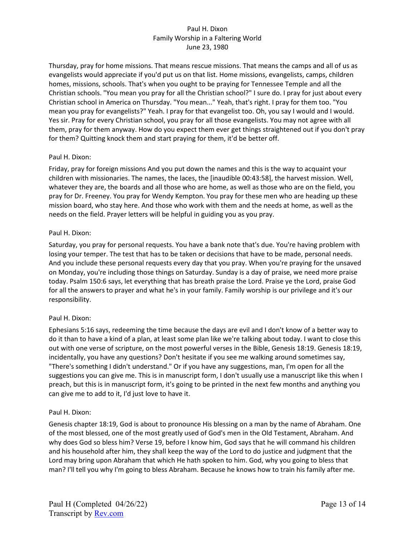Thursday, pray for home missions. That means rescue missions. That means the camps and all of us as evangelists would appreciate if you'd put us on that list. Home missions, evangelists, camps, children homes, missions, schools. That's when you ought to be praying for Tennessee Temple and all the Christian schools. "You mean you pray for all the Christian school?" I sure do. I pray for just about every Christian school in America on Thursday. "You mean..." Yeah, that's right. I pray for them too. "You mean you pray for evangelists?" Yeah. I pray for that evangelist too. Oh, you say I would and I would. Yes sir. Pray for every Christian school, you pray for all those evangelists. You may not agree with all them, pray for them anyway. How do you expect them ever get things straightened out if you don't pray for them? Quitting knock them and start praying for them, it'd be better off.

# Paul H. Dixon:

Friday, pray for foreign missions And you put down the names and this is the way to acquaint your children with missionaries. The names, the laces, the [inaudible 00:43:58], the harvest mission. Well, whatever they are, the boards and all those who are home, as well as those who are on the field, you pray for Dr. Freeney. You pray for Wendy Kempton. You pray for these men who are heading up these mission board, who stay here. And those who work with them and the needs at home, as well as the needs on the field. Prayer letters will be helpful in guiding you as you pray.

## Paul H. Dixon:

Saturday, you pray for personal requests. You have a bank note that's due. You're having problem with losing your temper. The test that has to be taken or decisions that have to be made, personal needs. And you include these personal requests every day that you pray. When you're praying for the unsaved on Monday, you're including those things on Saturday. Sunday is a day of praise, we need more praise today. Psalm 150:6 says, let everything that has breath praise the Lord. Praise ye the Lord, praise God for all the answers to prayer and what he's in your family. Family worship is our privilege and it's our responsibility.

# Paul H. Dixon:

Ephesians 5:16 says, redeeming the time because the days are evil and I don't know of a better way to do it than to have a kind of a plan, at least some plan like we're talking about today. I want to close this out with one verse of scripture, on the most powerful verses in the Bible, Genesis 18:19. Genesis 18:19, incidentally, you have any questions? Don't hesitate if you see me walking around sometimes say, "There's something I didn't understand." Or if you have any suggestions, man, I'm open for all the suggestions you can give me. This is in manuscript form, I don't usually use a manuscript like this when I preach, but this is in manuscript form, it's going to be printed in the next few months and anything you can give me to add to it, I'd just love to have it.

### Paul H. Dixon:

Genesis chapter 18:19, God is about to pronounce His blessing on a man by the name of Abraham. One of the most blessed, one of the most greatly used of God's men in the Old Testament, Abraham. And why does God so bless him? Verse 19, before I know him, God says that he will command his children and his household after him, they shall keep the way of the Lord to do justice and judgment that the Lord may bring upon Abraham that which He hath spoken to him. God, why you going to bless that man? I'll tell you why I'm going to bless Abraham. Because he knows how to train his family after me.